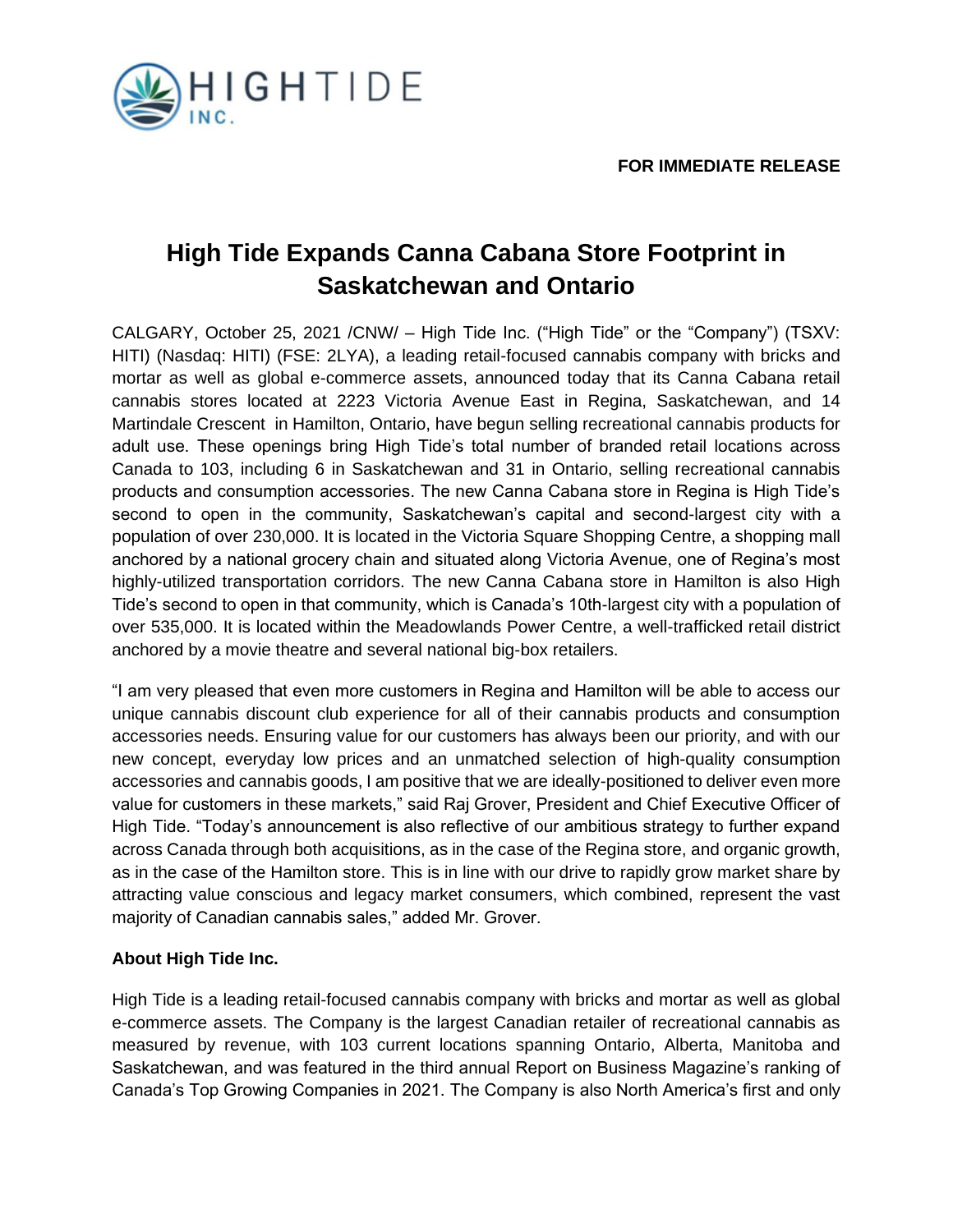

## **High Tide Expands Canna Cabana Store Footprint in Saskatchewan and Ontario**

CALGARY, October 25, 2021 /CNW/ – High Tide Inc. ("High Tide" or the "Company") (TSXV: HITI) (Nasdaq: HITI) (FSE: 2LYA), a leading retail-focused cannabis company with bricks and mortar as well as global e-commerce assets, announced today that its Canna Cabana retail cannabis stores located at 2223 Victoria Avenue East in Regina, Saskatchewan, and 14 Martindale Crescent in Hamilton, Ontario, have begun selling recreational cannabis products for adult use. These openings bring High Tide's total number of branded retail locations across Canada to 103, including 6 in Saskatchewan and 31 in Ontario, selling recreational cannabis products and consumption accessories. The new Canna Cabana store in Regina is High Tide's second to open in the community, Saskatchewan's capital and second-largest city with a population of over 230,000. It is located in the Victoria Square Shopping Centre, a shopping mall anchored by a national grocery chain and situated along Victoria Avenue, one of Regina's most highly-utilized transportation corridors. The new Canna Cabana store in Hamilton is also High Tide's second to open in that community, which is Canada's 10th-largest city with a population of over 535,000. It is located within the Meadowlands Power Centre, a well-trafficked retail district anchored by a movie theatre and several national big-box retailers.

"I am very pleased that even more customers in Regina and Hamilton will be able to access our unique cannabis discount club experience for all of their cannabis products and consumption accessories needs. Ensuring value for our customers has always been our priority, and with our new concept, everyday low prices and an unmatched selection of high-quality consumption accessories and cannabis goods, I am positive that we are ideally-positioned to deliver even more value for customers in these markets," said Raj Grover, President and Chief Executive Officer of High Tide. "Today's announcement is also reflective of our ambitious strategy to further expand across Canada through both acquisitions, as in the case of the Regina store, and organic growth, as in the case of the Hamilton store. This is in line with our drive to rapidly grow market share by attracting value conscious and legacy market consumers, which combined, represent the vast majority of Canadian cannabis sales," added Mr. Grover.

## **About High Tide Inc.**

High Tide is a leading retail-focused cannabis company with bricks and mortar as well as global e-commerce assets. The Company is the largest Canadian retailer of recreational cannabis as measured by revenue, with 103 current locations spanning Ontario, Alberta, Manitoba and Saskatchewan, and was featured in the third annual Report on Business Magazine's ranking of Canada's Top Growing Companies in 2021. The Company is also North America's first and only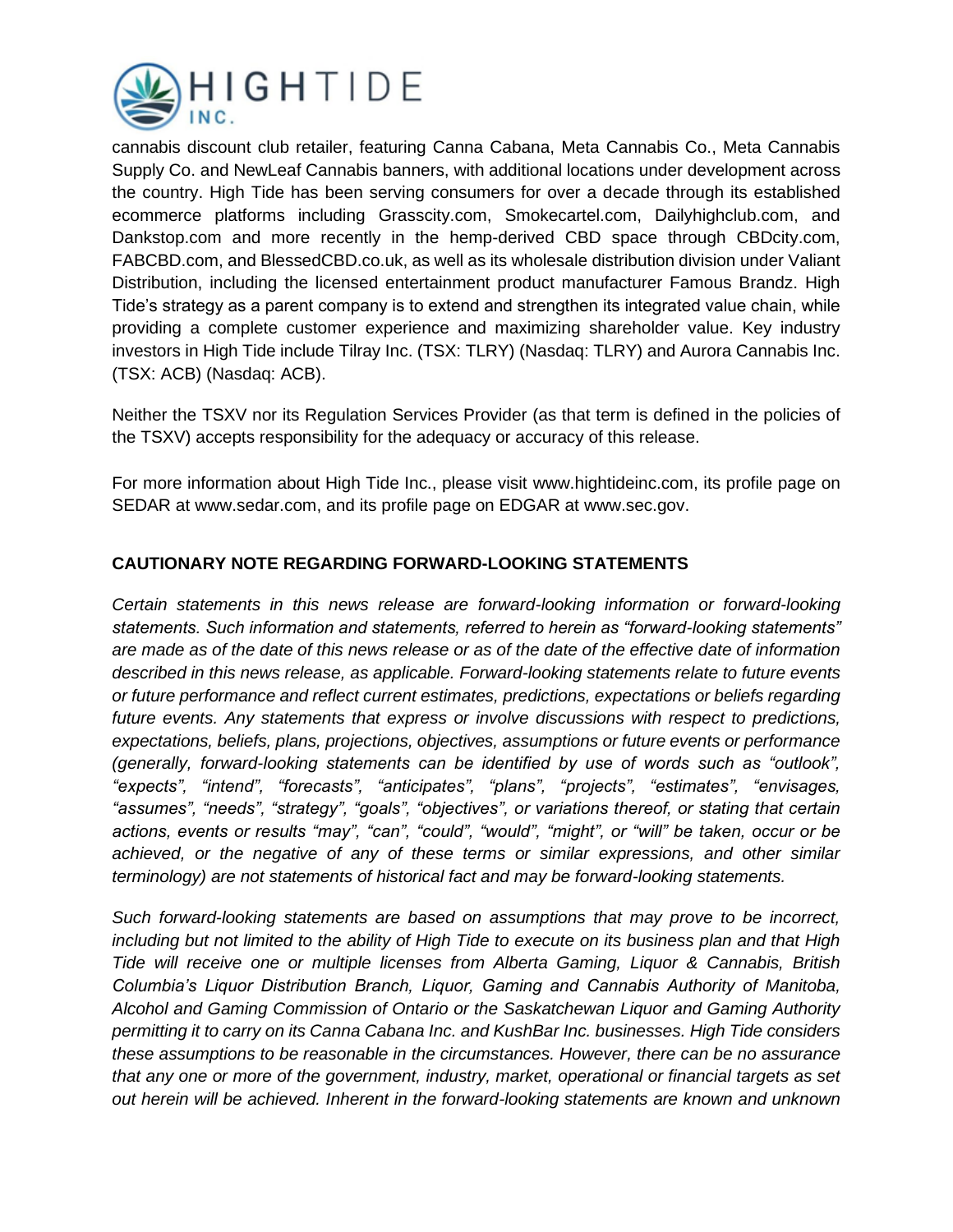

cannabis discount club retailer, featuring Canna Cabana, Meta Cannabis Co., Meta Cannabis Supply Co. and NewLeaf Cannabis banners, with additional locations under development across the country. High Tide has been serving consumers for over a decade through its established ecommerce platforms including Grasscity.com, Smokecartel.com, Dailyhighclub.com, and Dankstop.com and more recently in the hemp-derived CBD space through CBDcity.com, FABCBD.com, and BlessedCBD.co.uk, as well as its wholesale distribution division under Valiant Distribution, including the licensed entertainment product manufacturer Famous Brandz. High Tide's strategy as a parent company is to extend and strengthen its integrated value chain, while providing a complete customer experience and maximizing shareholder value. Key industry investors in High Tide include Tilray Inc. (TSX: TLRY) (Nasdaq: TLRY) and Aurora Cannabis Inc. (TSX: ACB) (Nasdaq: ACB).

Neither the TSXV nor its Regulation Services Provider (as that term is defined in the policies of the TSXV) accepts responsibility for the adequacy or accuracy of this release.

For more information about High Tide Inc., please visit [www.hightideinc.com,](https://www.hightideinc.com/) its profile page on SEDAR at [www.sedar.com,](http://www.sedar.com/) and its profile page on EDGAR at [www.sec.gov.](http://www.sec.gov/)

## **CAUTIONARY NOTE REGARDING FORWARD-LOOKING STATEMENTS**

*Certain statements in this news release are forward-looking information or forward-looking statements. Such information and statements, referred to herein as "forward-looking statements" are made as of the date of this news release or as of the date of the effective date of information described in this news release, as applicable. Forward-looking statements relate to future events or future performance and reflect current estimates, predictions, expectations or beliefs regarding future events. Any statements that express or involve discussions with respect to predictions, expectations, beliefs, plans, projections, objectives, assumptions or future events or performance (generally, forward-looking statements can be identified by use of words such as "outlook", "expects", "intend", "forecasts", "anticipates", "plans", "projects", "estimates", "envisages, "assumes", "needs", "strategy", "goals", "objectives", or variations thereof, or stating that certain actions, events or results "may", "can", "could", "would", "might", or "will" be taken, occur or be achieved, or the negative of any of these terms or similar expressions, and other similar terminology) are not statements of historical fact and may be forward-looking statements.*

*Such forward-looking statements are based on assumptions that may prove to be incorrect, including but not limited to the ability of High Tide to execute on its business plan and that High Tide will receive one or multiple licenses from Alberta Gaming, Liquor & Cannabis, British Columbia's Liquor Distribution Branch, Liquor, Gaming and Cannabis Authority of Manitoba, Alcohol and Gaming Commission of Ontario or the Saskatchewan Liquor and Gaming Authority permitting it to carry on its Canna Cabana Inc. and KushBar Inc. businesses. High Tide considers these assumptions to be reasonable in the circumstances. However, there can be no assurance that any one or more of the government, industry, market, operational or financial targets as set out herein will be achieved. Inherent in the forward-looking statements are known and unknown*